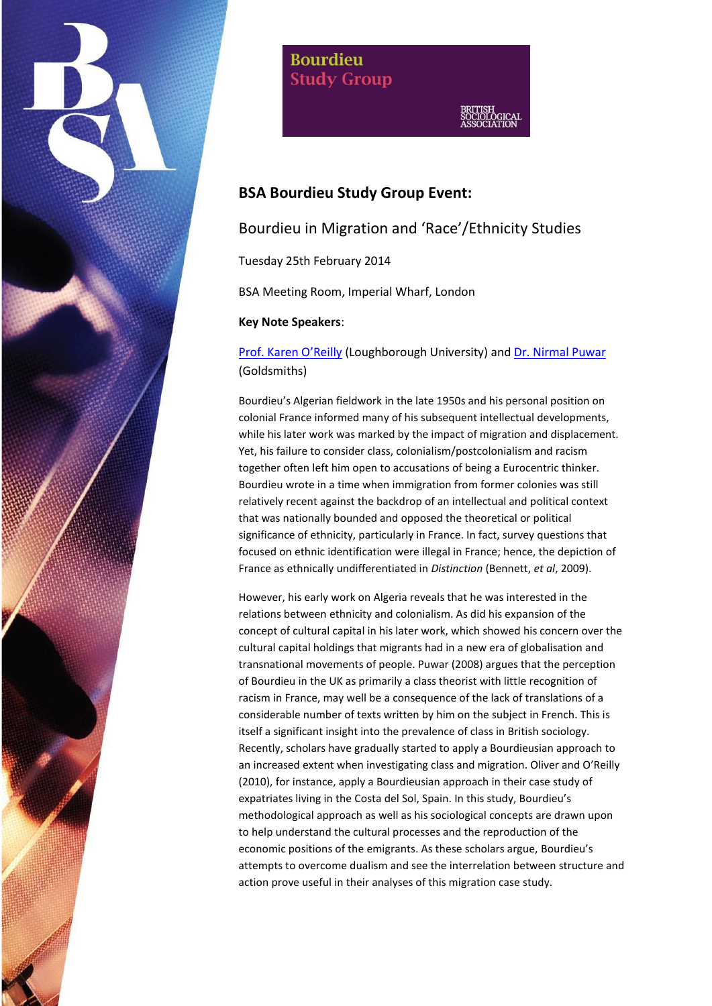

**Bourdieu Study Group** 

# **BSA Bourdieu Study Group Event:**

## Bourdieu in Migration and 'Race'/Ethnicity Studies

Tuesday 25th February 2014

BSA Meeting Room, Imperial Wharf, London

## **Key Note Speakers**:

[Prof. Karen O'Reilly](http://www.lboro.ac.uk/departments/socialsciences/staff/academicandresearch/karen-oreilly.html) (Loughborough University) an[d Dr. Nirmal Puwar](http://www.gold.ac.uk/sociology/staff/puwar/) (Goldsmiths)

Bourdieu's Algerian fieldwork in the late 1950s and his personal position on colonial France informed many of his subsequent intellectual developments, while his later work was marked by the impact of migration and displacement. Yet, his failure to consider class, colonialism/postcolonialism and racism together often left him open to accusations of being a Eurocentric thinker. Bourdieu wrote in a time when immigration from former colonies was still relatively recent against the backdrop of an intellectual and political context that was nationally bounded and opposed the theoretical or political significance of ethnicity, particularly in France. In fact, survey questions that focused on ethnic identification were illegal in France; hence, the depiction of France as ethnically undifferentiated in *Distinction* (Bennett, *et al*, 2009).

However, his early work on Algeria reveals that he was interested in the relations between ethnicity and colonialism. As did his expansion of the concept of cultural capital in his later work, which showed his concern over the cultural capital holdings that migrants had in a new era of globalisation and transnational movements of people. Puwar (2008) argues that the perception of Bourdieu in the UK as primarily a class theorist with little recognition of racism in France, may well be a consequence of the lack of translations of a considerable number of texts written by him on the subject in French. This is itself a significant insight into the prevalence of class in British sociology. Recently, scholars have gradually started to apply a Bourdieusian approach to an increased extent when investigating class and migration. Oliver and O'Reilly (2010), for instance, apply a Bourdieusian approach in their case study of expatriates living in the Costa del Sol, Spain. In this study, Bourdieu's methodological approach as well as his sociological concepts are drawn upon to help understand the cultural processes and the reproduction of the economic positions of the emigrants. As these scholars argue, Bourdieu's attempts to overcome dualism and see the interrelation between structure and action prove useful in their analyses of this migration case study.